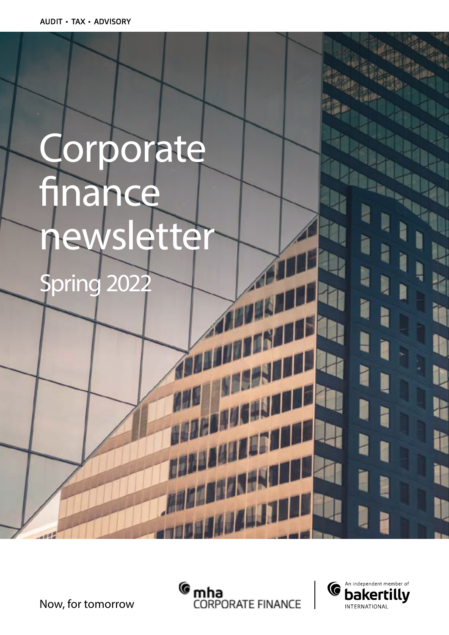





Now, for tomorrow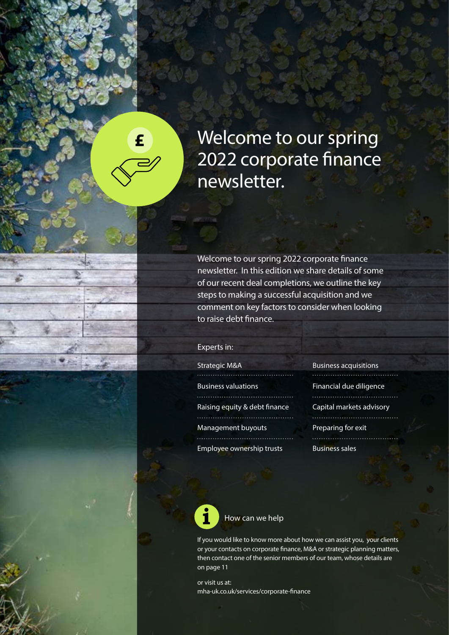### Welcome to our spring 2022 corporate finance newsletter.

Welcome to our spring 2022 corporate finance newsletter. In this edition we share details of some of our recent deal completions, we outline the key steps to making a successful acquisition and we comment on key factors to consider when looking to raise debt finance.

#### Experts in:

Strate

£

Busin

**Raisin** 

Mana

Empl

. . . . . .

| egic M&A                 | <b>Business acquisitions</b> |
|--------------------------|------------------------------|
|                          |                              |
| ess valuations           | Financial due diligence      |
|                          |                              |
| ng equity & debt finance | Capital markets advisory     |
|                          |                              |
| gement buyouts           | Preparing for exit           |
|                          |                              |
| oyee ownership trusts    | <b>Business sales</b>        |
|                          |                              |

 $\mathbf{\hat{i}}$ How can we help

If you would like to know more about how we can assist you, your clients or your contacts on corporate finance, M&A or strategic planning matters, then contact one of the senior members of our team, whose details are on page 11

or visit us at: mha-uk.co.uk/services/corporate-finance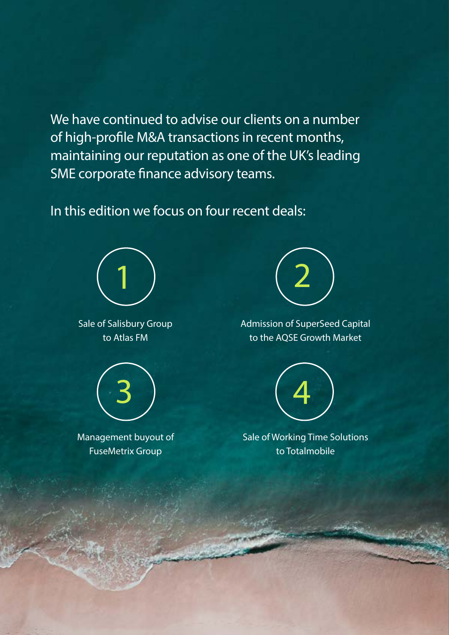We have continued to advise our clients on a number of high-profile M&A transactions in recent months, maintaining our reputation as one of the UK's leading SME corporate finance advisory teams.

In this edition we focus on four recent deals:



Sale of Salisbury Group to Atlas FM



Management buyout of FuseMetrix Group



Admission of SuperSeed Capital to the AQSE Growth Market



Sale of Working Time Solutions to Totalmobile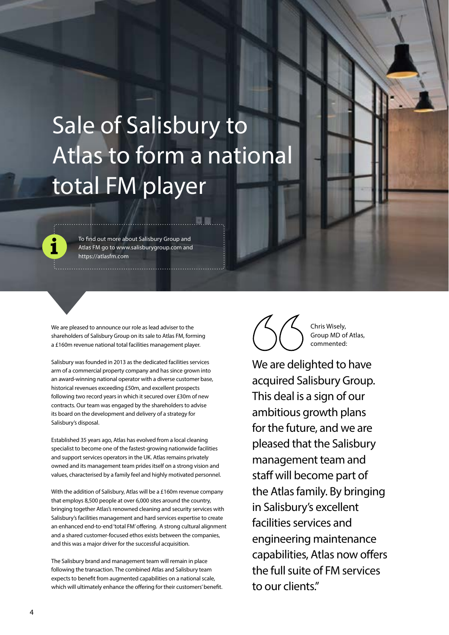# Sale of Salisbury to Atlas to form a national total FM player

To find out more about Salisbury Group and Atlas FM go to www.salisburygroup.com and https://atlasfm.com

We are pleased to announce our role as lead adviser to the shareholders of Salisbury Group on its sale to Atlas FM, forming a £160m revenue national total facilities management player.

Salisbury was founded in 2013 as the dedicated facilities services arm of a commercial property company and has since grown into an award-winning national operator with a diverse customer base, historical revenues exceeding £50m, and excellent prospects following two record years in which it secured over £30m of new contracts. Our team was engaged by the shareholders to advise its board on the development and delivery of a strategy for Salisbury's disposal.

Established 35 years ago, Atlas has evolved from a local cleaning specialist to become one of the fastest-growing nationwide facilities and support services operators in the UK. Atlas remains privately owned and its management team prides itself on a strong vision and values, characterised by a family feel and highly motivated personnel.

With the addition of Salisbury, Atlas will be a £160m revenue company that employs 8,500 people at over 6,000 sites around the country, bringing together Atlas's renowned cleaning and security services with Salisbury's facilities management and hard services expertise to create an enhanced end-to-end 'total FM' offering. A strong cultural alignment and a shared customer-focused ethos exists between the companies, and this was a major driver for the successful acquisition.

The Salisbury brand and management team will remain in place following the transaction. The combined Atlas and Salisbury team expects to benefit from augmented capabilities on a national scale, which will ultimately enhance the offering for their customers' benefit.



Chris Wisely, Group MD of Atlas, commented:

We are delighted to have acquired Salisbury Group. This deal is a sign of our ambitious growth plans for the future, and we are pleased that the Salisbury management team and staff will become part of the Atlas family. By bringing in Salisbury's excellent facilities services and engineering maintenance capabilities, Atlas now offers the full suite of FM services to our clients."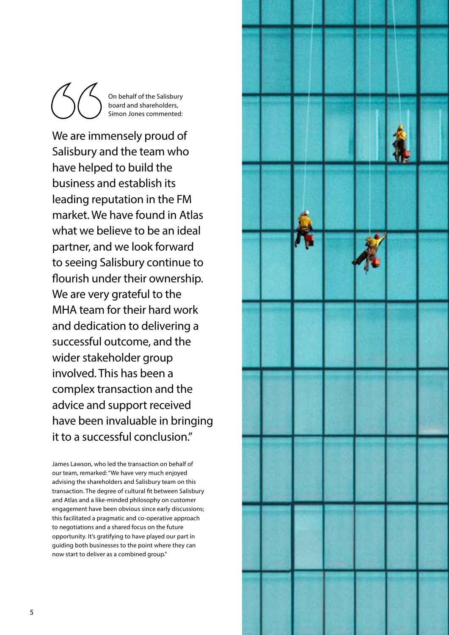

On behalf of the Salisbury board and shareholders, Simon Jones commented:

We are immensely proud of Salisbury and the team who have helped to build the business and establish its leading reputation in the FM market. We have found in Atlas what we believe to be an ideal partner, and we look forward to seeing Salisbury continue to flourish under their ownership. We are very grateful to the MHA team for their hard work and dedication to delivering a successful outcome, and the wider stakeholder group involved. This has been a complex transaction and the advice and support received have been invaluable in bringing it to a successful conclusion."

James Lawson, who led the transaction on behalf of our team, remarked: "We have very much enjoyed advising the shareholders and Salisbury team on this transaction. The degree of cultural fit between Salisbury and Atlas and a like-minded philosophy on customer engagement have been obvious since early discussions; this facilitated a pragmatic and co-operative approach to negotiations and a shared focus on the future opportunity. It's gratifying to have played our part in guiding both businesses to the point where they can now start to deliver as a combined group."

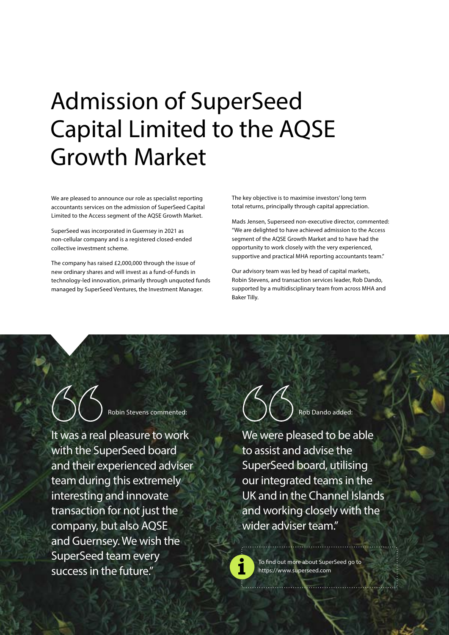## Admission of SuperSeed Capital Limited to the AQSE Growth Market

We are pleased to announce our role as specialist reporting accountants services on the admission of SuperSeed Capital Limited to the Access segment of the AQSE Growth Market.

SuperSeed was incorporated in Guernsey in 2021 as non-cellular company and is a registered closed-ended collective investment scheme.

The company has raised £2,000,000 through the issue of new ordinary shares and will invest as a fund-of-funds in technology-led innovation, primarily through unquoted funds managed by SuperSeed Ventures, the Investment Manager.

The key objective is to maximise investors' long term total returns, principally through capital appreciation.

Mads Jensen, Superseed non-executive director, commented: "We are delighted to have achieved admission to the Access segment of the AQSE Growth Market and to have had the opportunity to work closely with the very experienced, supportive and practical MHA reporting accountants team."

Our advisory team was led by head of capital markets, Robin Stevens, and transaction services leader, Rob Dando, supported by a multidisciplinary team from across MHA and Baker Tilly.

Robin Stevens commented:

It was a real pleasure to work with the SuperSeed board and their experienced adviser team during this extremely interesting and innovate transaction for not just the company, but also AQSE and Guernsey. We wish the SuperSeed team every success in the future."

Rob Dando added:

We were pleased to be able to assist and advise the SuperSeed board, utilising our integrated teams in the UK and in the Channel Islands and working closely with the wider adviser team."



To find out more about SuperSeed go to https://www.superseed.com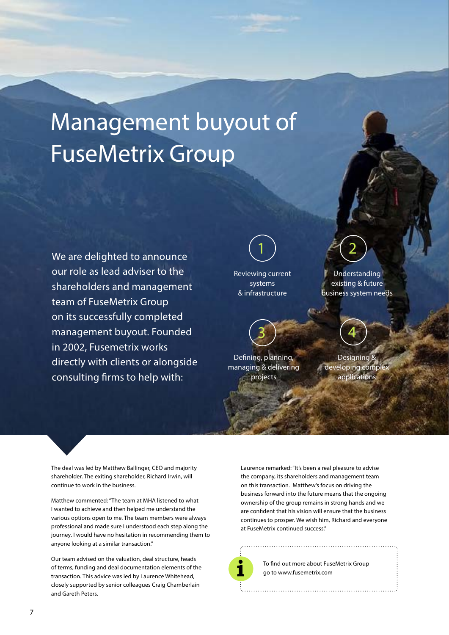## Management buyout of FuseMetrix Group

We are delighted to announce our role as lead adviser to the shareholders and management team of FuseMetrix Group on its successfully completed management buyout. Founded in 2002, Fusemetrix works directly with clients or alongside consulting firms to help with:

Reviewing current systems & infrastructure



Defining, planning, managing & delivering projects

1  $\approx$  2

Understanding existing & future business system needs



Designing & developing complex applications

The deal was led by Matthew Ballinger, CEO and majority shareholder. The exiting shareholder, Richard Irwin, will continue to work in the business.

Matthew commented: "The team at MHA listened to what I wanted to achieve and then helped me understand the various options open to me. The team members were always professional and made sure I understood each step along the journey. I would have no hesitation in recommending them to anyone looking at a similar transaction."

Our team advised on the valuation, deal structure, heads of terms, funding and deal documentation elements of the transaction. This advice was led by Laurence Whitehead, closely supported by senior colleagues Craig Chamberlain and Gareth Peters.

Laurence remarked: "It's been a real pleasure to advise the company, its shareholders and management team on this transaction. Matthew's focus on driving the business forward into the future means that the ongoing ownership of the group remains in strong hands and we are confident that his vision will ensure that the business continues to prosper. We wish him, Richard and everyone at FuseMetrix continued success."



To find out more about FuseMetrix Group go to www.fusemetrix.com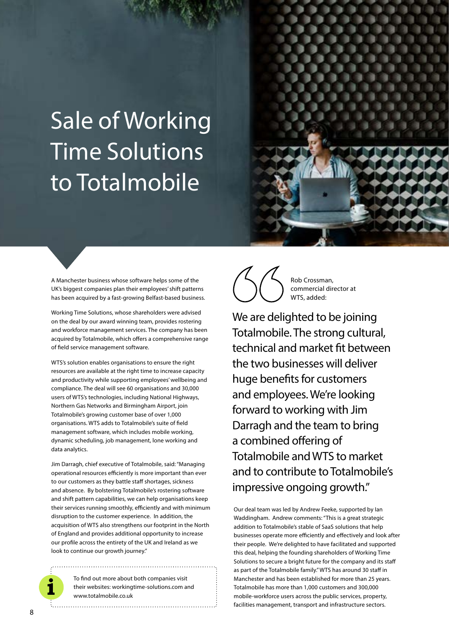# Sale of Working Time Solutions to Totalmobile

A Manchester business whose software helps some of the UK's biggest companies plan their employees' shift patterns has been acquired by a fast-growing Belfast-based business.

Working Time Solutions, whose shareholders were advised on the deal by our award winning team, provides rostering and workforce management services. The company has been acquired by Totalmobile, which offers a comprehensive range of field service management software.

WTS's solution enables organisations to ensure the right resources are available at the right time to increase capacity and productivity while supporting employees' wellbeing and compliance. The deal will see 60 organisations and 30,000 users of WTS's technologies, including National Highways, Northern Gas Networks and Birmingham Airport, join Totalmobile's growing customer base of over 1,000 organisations. WTS adds to Totalmobile's suite of field management software, which includes mobile working, dynamic scheduling, job management, lone working and data analytics.

Jim Darragh, chief executive of Totalmobile, said: "Managing operational resources efficiently is more important than ever to our customers as they battle staff shortages, sickness and absence. By bolstering Totalmobile's rostering software and shift pattern capabilities, we can help organisations keep their services running smoothly, efficiently and with minimum disruption to the customer experience. In addition, the acquisition of WTS also strengthens our footprint in the North of England and provides additional opportunity to increase our profile across the entirety of the UK and Ireland as we look to continue our growth journey."

> To find out more about both companies visit their websites: workingtime-solutions.com and www.totalmobile.co.uk



Rob Crossman, commercial director at WTS, added:

We are delighted to be joining Totalmobile. The strong cultural, technical and market fit between the two businesses will deliver huge benefits for customers and employees. We're looking forward to working with Jim Darragh and the team to bring a combined offering of Totalmobile and WTS to market and to contribute to Totalmobile's impressive ongoing growth."

Our deal team was led by Andrew Feeke, supported by Ian Waddingham. Andrew comments: "This is a great strategic addition to Totalmobile's stable of SaaS solutions that help businesses operate more efficiently and effectively and look after their people. We're delighted to have facilitated and supported this deal, helping the founding shareholders of Working Time Solutions to secure a bright future for the company and its staff as part of the Totalmobile family." WTS has around 30 staff in Manchester and has been established for more than 25 years. Totalmobile has more than 1,000 customers and 300,000 mobile-workforce users across the public services, property, facilities management, transport and infrastructure sectors.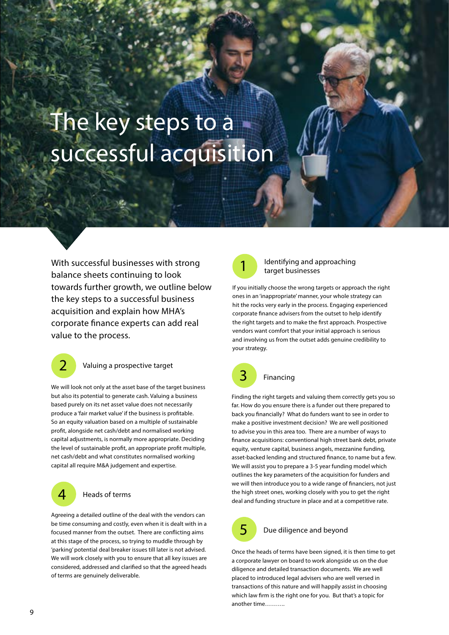# The key steps to a successful acquisition

With successful businesses with strong balance sheets continuing to look towards further growth, we outline below the key steps to a successful business acquisition and explain how MHA's corporate finance experts can add real value to the process.



## 2 Valuing a prospective target

We will look not only at the asset base of the target business but also its potential to generate cash. Valuing a business based purely on its net asset value does not necessarily produce a 'fair market value' if the business is profitable. So an equity valuation based on a multiple of sustainable profit, alongside net cash/debt and normalised working capital adjustments, is normally more appropriate. Deciding the level of sustainable profit, an appropriate profit multiple, net cash/debt and what constitutes normalised working capital all require M&A judgement and expertise.



#### Heads of terms

Agreeing a detailed outline of the deal with the vendors can be time consuming and costly, even when it is dealt with in a focused manner from the outset. There are conflicting aims at this stage of the process, so trying to muddle through by 'parking' potential deal breaker issues till later is not advised. We will work closely with you to ensure that all key issues are considered, addressed and clarified so that the agreed heads of terms are genuinely deliverable.



#### Identifying and approaching target businesses

If you initially choose the wrong targets or approach the right ones in an 'inappropriate' manner, your whole strategy can hit the rocks very early in the process. Engaging experienced corporate finance advisers from the outset to help identify the right targets and to make the first approach. Prospective vendors want comfort that your initial approach is serious and involving us from the outset adds genuine credibility to your strategy.



#### Financing

Finding the right targets and valuing them correctly gets you so far. How do you ensure there is a funder out there prepared to back you financially? What do funders want to see in order to make a positive investment decision? We are well positioned to advise you in this area too. There are a number of ways to finance acquisitions: conventional high street bank debt, private equity, venture capital, business angels, mezzanine funding, asset-backed lending and structured finance, to name but a few. We will assist you to prepare a 3-5 year funding model which outlines the key parameters of the acquisition for funders and we will then introduce you to a wide range of financiers, not just the high street ones, working closely with you to get the right deal and funding structure in place and at a competitive rate.



#### Due diligence and beyond

Once the heads of terms have been signed, it is then time to get a corporate lawyer on board to work alongside us on the due diligence and detailed transaction documents. We are well placed to introduced legal advisers who are well versed in transactions of this nature and will happily assist in choosing which law firm is the right one for you. But that's a topic for another time……….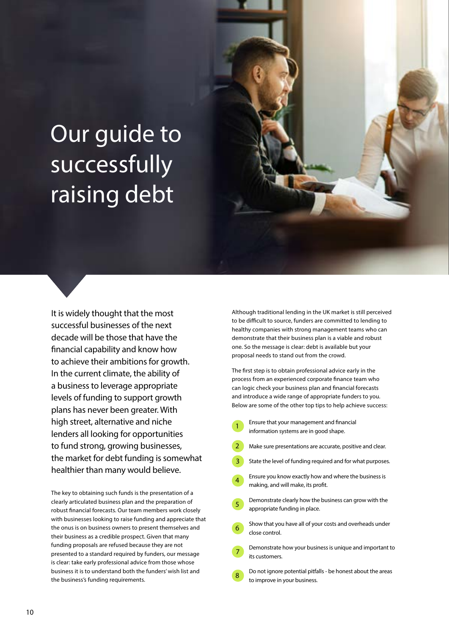# Our guide to successfully raising debt

It is widely thought that the most successful businesses of the next decade will be those that have the financial capability and know how to achieve their ambitions for growth. In the current climate, the ability of a business to leverage appropriate levels of funding to support growth plans has never been greater. With high street, alternative and niche lenders all looking for opportunities to fund strong, growing businesses, the market for debt funding is somewhat healthier than many would believe.

The key to obtaining such funds is the presentation of a clearly articulated business plan and the preparation of robust financial forecasts. Our team members work closely with businesses looking to raise funding and appreciate that the onus is on business owners to present themselves and their business as a credible prospect. Given that many funding proposals are refused because they are not presented to a standard required by funders, our message is clear: take early professional advice from those whose business it is to understand both the funders' wish list and the business's funding requirements.

Although traditional lending in the UK market is still perceived to be difficult to source, funders are committed to lending to healthy companies with strong management teams who can demonstrate that their business plan is a viable and robust one. So the message is clear: debt is available but your proposal needs to stand out from the crowd.

The first step is to obtain professional advice early in the process from an experienced corporate finance team who can logic check your business plan and financial forecasts and introduce a wide range of appropriate funders to you. Below are some of the other top tips to help achieve success:

Ensure that your management and financial information systems are in good shape. Make sure presentations are accurate, positive and clear. State the level of funding required and for what purposes. Ensure you know exactly how and where the business is making, and will make, its profit. Demonstrate clearly how the business can grow with the appropriate funding in place. Show that you have all of your costs and overheads under close control. Demonstrate how your business is unique and important to its customers. Do not ignore potential pitfalls - be honest about the areas to improve in your business. 1  $\mathcal{D}$ 3 4 5 6 7 8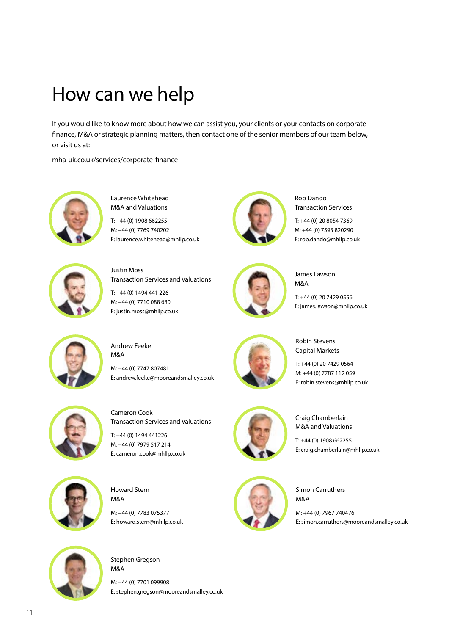### How can we help

If you would like to know more about how we can assist you, your clients or your contacts on corporate finance, M&A or strategic planning matters, then contact one of the senior members of our team below, or visit us at:

mha-uk.co.uk/services/corporate-finance



Laurence Whitehead M&A and Valuations

T: +44 (0) 1908 662255 M: +44 (0) 7769 740202 E: laurence.whitehead@mhllp.co.uk



Justin Moss Transaction Services and Valuations T: +44 (0) 1494 441 226 M: +44 (0) 7710 088 680



Rob Dando Transaction Services

T: +44 (0) 20 8054 7369 M: +44 (0) 7593 820290 E: rob.dando@mhllp.co.uk



James Lawson M&A

Robin Stevens Capital Markets T: +44 (0) 20 7429 0564 M: +44 (0) 7787 112 059 E: robin.stevens@mhllp.co.uk

T: +44 (0) 20 7429 0556 E: james.lawson@mhllp.co.uk



Andrew Feeke

E: justin.moss@mhllp.co.uk

M&A M: +44 (0) 7747 807481 E: andrew.feeke@mooreandsmalley.co.uk



Cameron Cook Transaction Services and Valuations

T: +44 (0) 1494 441226 M: +44 (0) 7979 517 214 E: cameron.cook@mhllp.co.uk





M: +44 (0) 7783 075377 E: howard.stern@mhllp.co.uk



Craig Chamberlain M&A and Valuations

T: +44 (0) 1908 662255 E: craig.chamberlain@mhllp.co.uk



Simon Carruthers M&A M: +44 (0) 7967 740476

E: simon.carruthers@mooreandsmalley.co.uk



Stephen Gregson M&A

M: +44 (0) 7701 099908 E: stephen.gregson@mooreandsmalley.co.uk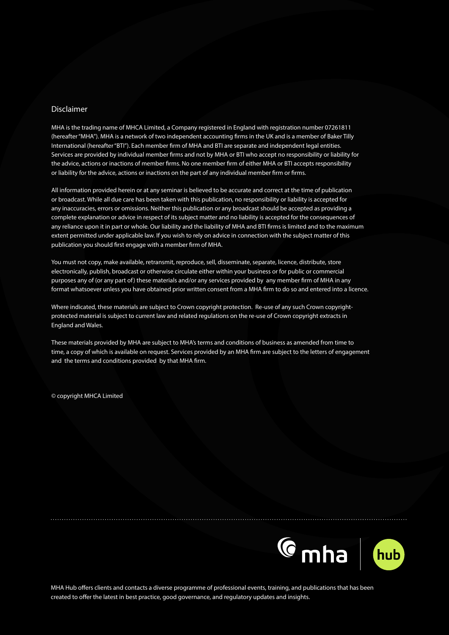#### Disclaimer

MHA is the trading name of MHCA Limited, a Company registered in England with registration number 07261811 (hereafter "MHA"). MHA is a network of two independent accounting firms in the UK and is a member of Baker Tilly International (hereafter "BTI"). Each member firm of MHA and BTI are separate and independent legal entities. Services are provided by individual member firms and not by MHA or BTI who accept no responsibility or liability for the advice, actions or inactions of member firms. No one member firm of either MHA or BTI accepts responsibility or liability for the advice, actions or inactions on the part of any individual member firm or firms.

All information provided herein or at any seminar is believed to be accurate and correct at the time of publication or broadcast. While all due care has been taken with this publication, no responsibility or liability is accepted for any inaccuracies, errors or omissions. Neither this publication or any broadcast should be accepted as providing a complete explanation or advice in respect of its subject matter and no liability is accepted for the consequences of any reliance upon it in part or whole. Our liability and the liability of MHA and BTI firms is limited and to the maximum extent permitted under applicable law. If you wish to rely on advice in connection with the subject matter of this publication you should first engage with a member firm of MHA.

You must not copy, make available, retransmit, reproduce, sell, disseminate, separate, licence, distribute, store electronically, publish, broadcast or otherwise circulate either within your business or for public or commercial purposes any of (or any part of) these materials and/or any services provided by any member firm of MHA in any format whatsoever unless you have obtained prior written consent from a MHA firm to do so and entered into a licence.

Where indicated, these materials are subject to Crown copyright protection. Re-use of any such Crown copyrightprotected material is subject to current law and related regulations on the re-use of Crown copyright extracts in England and Wales.

These materials provided by MHA are subject to MHA's terms and conditions of business as amended from time to time, a copy of which is available on request. Services provided by an MHA firm are subject to the letters of engagement and the terms and conditions provided by that MHA firm.

© copyright MHCA Limited



MHA Hub offers clients and contacts a diverse programme of professional events, training, and publications that has been created to offer the latest in best practice, good governance, and regulatory updates and insights.